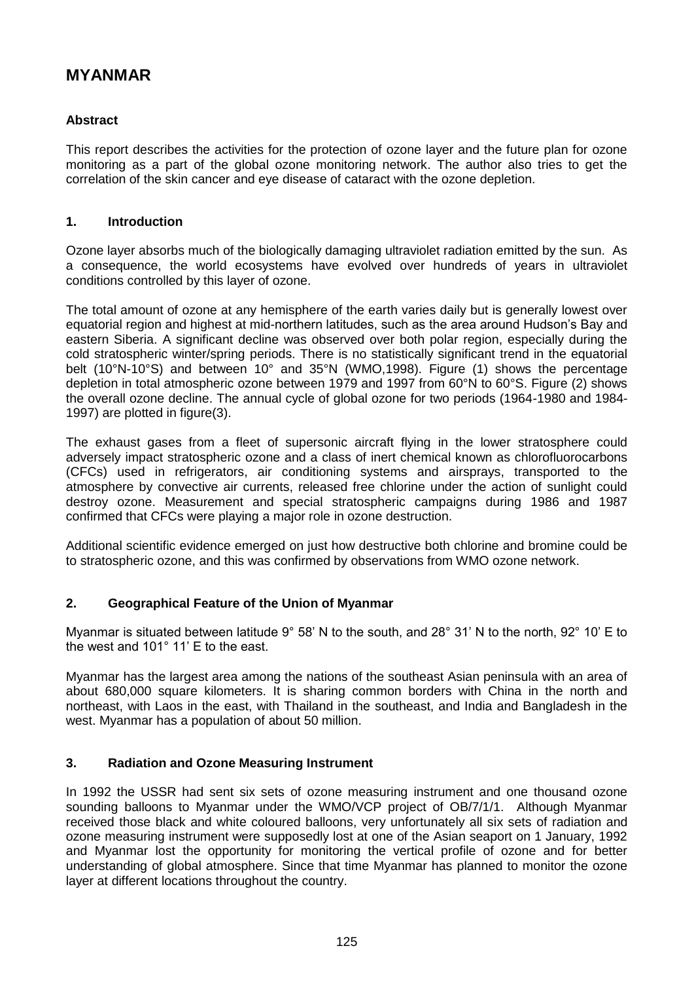# **MYANMAR**

### **Abstract**

This report describes the activities for the protection of ozone layer and the future plan for ozone monitoring as a part of the global ozone monitoring network. The author also tries to get the correlation of the skin cancer and eye disease of cataract with the ozone depletion.

#### **1. Introduction**

Ozone layer absorbs much of the biologically damaging ultraviolet radiation emitted by the sun. As a consequence, the world ecosystems have evolved over hundreds of years in ultraviolet conditions controlled by this layer of ozone.

The total amount of ozone at any hemisphere of the earth varies daily but is generally lowest over equatorial region and highest at mid-northern latitudes, such as the area around Hudson's Bay and eastern Siberia. A significant decline was observed over both polar region, especially during the cold stratospheric winter/spring periods. There is no statistically significant trend in the equatorial belt (10°N-10°S) and between 10° and 35°N (WMO,1998). Figure (1) shows the percentage depletion in total atmospheric ozone between 1979 and 1997 from 60°N to 60°S. Figure (2) shows the overall ozone decline. The annual cycle of global ozone for two periods (1964-1980 and 1984- 1997) are plotted in figure(3).

The exhaust gases from a fleet of supersonic aircraft flying in the lower stratosphere could adversely impact stratospheric ozone and a class of inert chemical known as chlorofluorocarbons (CFCs) used in refrigerators, air conditioning systems and airsprays, transported to the atmosphere by convective air currents, released free chlorine under the action of sunlight could destroy ozone. Measurement and special stratospheric campaigns during 1986 and 1987 confirmed that CFCs were playing a major role in ozone destruction.

Additional scientific evidence emerged on just how destructive both chlorine and bromine could be to stratospheric ozone, and this was confirmed by observations from WMO ozone network.

### **2. Geographical Feature of the Union of Myanmar**

Myanmar is situated between latitude 9° 58' N to the south, and 28° 31' N to the north, 92° 10' E to the west and 101° 11' E to the east.

Myanmar has the largest area among the nations of the southeast Asian peninsula with an area of about 680,000 square kilometers. It is sharing common borders with China in the north and northeast, with Laos in the east, with Thailand in the southeast, and India and Bangladesh in the west. Myanmar has a population of about 50 million.

### **3. Radiation and Ozone Measuring Instrument**

In 1992 the USSR had sent six sets of ozone measuring instrument and one thousand ozone sounding balloons to Myanmar under the WMO/VCP project of OB/7/1/1. Although Myanmar received those black and white coloured balloons, very unfortunately all six sets of radiation and ozone measuring instrument were supposedly lost at one of the Asian seaport on 1 January, 1992 and Myanmar lost the opportunity for monitoring the vertical profile of ozone and for better understanding of global atmosphere. Since that time Myanmar has planned to monitor the ozone layer at different locations throughout the country.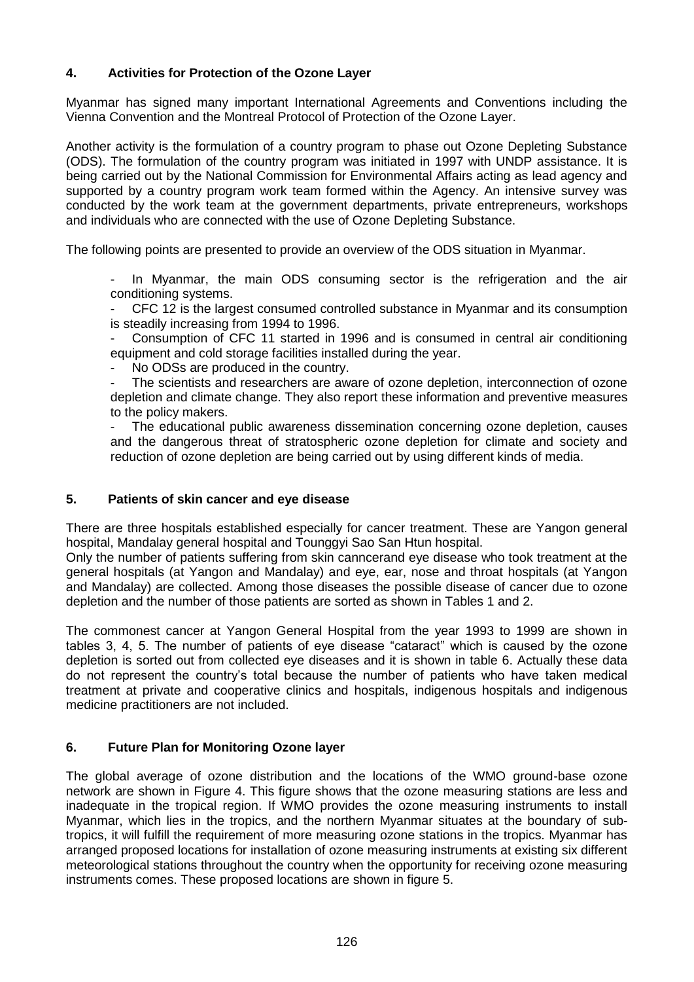### **4. Activities for Protection of the Ozone Layer**

Myanmar has signed many important International Agreements and Conventions including the Vienna Convention and the Montreal Protocol of Protection of the Ozone Layer.

Another activity is the formulation of a country program to phase out Ozone Depleting Substance (ODS). The formulation of the country program was initiated in 1997 with UNDP assistance. It is being carried out by the National Commission for Environmental Affairs acting as lead agency and supported by a country program work team formed within the Agency. An intensive survey was conducted by the work team at the government departments, private entrepreneurs, workshops and individuals who are connected with the use of Ozone Depleting Substance.

The following points are presented to provide an overview of the ODS situation in Myanmar.

In Myanmar, the main ODS consuming sector is the refrigeration and the air conditioning systems.

- CFC 12 is the largest consumed controlled substance in Myanmar and its consumption is steadily increasing from 1994 to 1996.

- Consumption of CFC 11 started in 1996 and is consumed in central air conditioning equipment and cold storage facilities installed during the year.

No ODSs are produced in the country.

The scientists and researchers are aware of ozone depletion, interconnection of ozone depletion and climate change. They also report these information and preventive measures to the policy makers.

The educational public awareness dissemination concerning ozone depletion, causes and the dangerous threat of stratospheric ozone depletion for climate and society and reduction of ozone depletion are being carried out by using different kinds of media.

#### **5. Patients of skin cancer and eye disease**

There are three hospitals established especially for cancer treatment. These are Yangon general hospital, Mandalay general hospital and Tounggyi Sao San Htun hospital.

Only the number of patients suffering from skin canncerand eye disease who took treatment at the general hospitals (at Yangon and Mandalay) and eye, ear, nose and throat hospitals (at Yangon and Mandalay) are collected. Among those diseases the possible disease of cancer due to ozone depletion and the number of those patients are sorted as shown in Tables 1 and 2.

The commonest cancer at Yangon General Hospital from the year 1993 to 1999 are shown in tables 3, 4, 5. The number of patients of eye disease "cataract" which is caused by the ozone depletion is sorted out from collected eye diseases and it is shown in table 6. Actually these data do not represent the country's total because the number of patients who have taken medical treatment at private and cooperative clinics and hospitals, indigenous hospitals and indigenous medicine practitioners are not included.

### **6. Future Plan for Monitoring Ozone layer**

The global average of ozone distribution and the locations of the WMO ground-base ozone network are shown in Figure 4. This figure shows that the ozone measuring stations are less and inadequate in the tropical region. If WMO provides the ozone measuring instruments to install Myanmar, which lies in the tropics, and the northern Myanmar situates at the boundary of subtropics, it will fulfill the requirement of more measuring ozone stations in the tropics. Myanmar has arranged proposed locations for installation of ozone measuring instruments at existing six different meteorological stations throughout the country when the opportunity for receiving ozone measuring instruments comes. These proposed locations are shown in figure 5.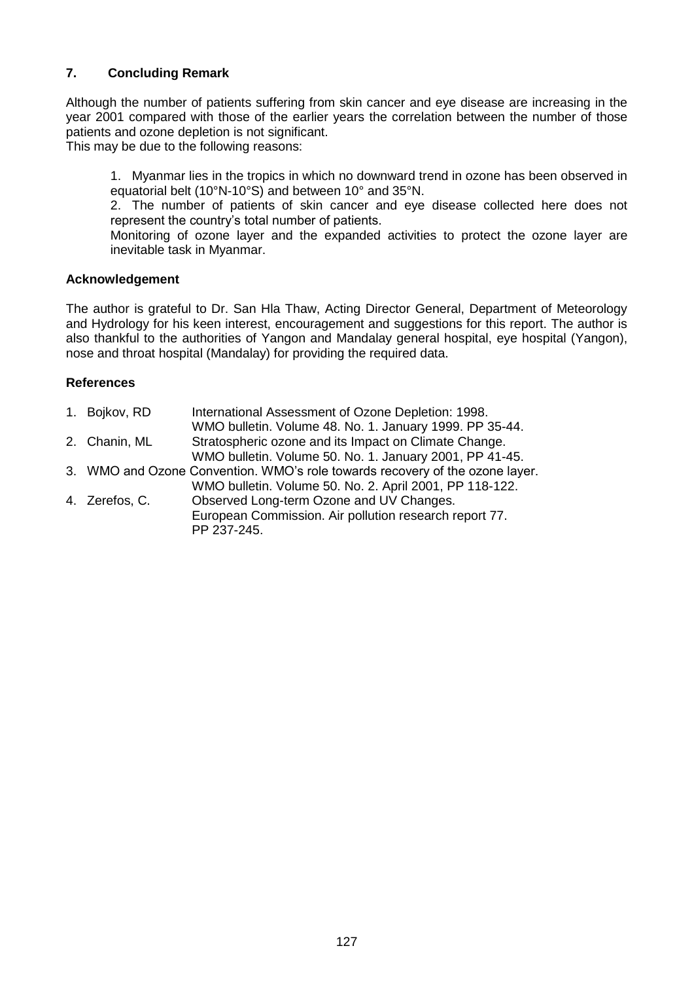### **7. Concluding Remark**

Although the number of patients suffering from skin cancer and eye disease are increasing in the year 2001 compared with those of the earlier years the correlation between the number of those patients and ozone depletion is not significant.

This may be due to the following reasons:

1. Myanmar lies in the tropics in which no downward trend in ozone has been observed in equatorial belt (10°N-10°S) and between 10° and 35°N.

2. The number of patients of skin cancer and eye disease collected here does not represent the country's total number of patients.

Monitoring of ozone layer and the expanded activities to protect the ozone layer are inevitable task in Myanmar.

#### **Acknowledgement**

The author is grateful to Dr. San Hla Thaw, Acting Director General, Department of Meteorology and Hydrology for his keen interest, encouragement and suggestions for this report. The author is also thankful to the authorities of Yangon and Mandalay general hospital, eye hospital (Yangon), nose and throat hospital (Mandalay) for providing the required data.

#### **References**

| 1. Bojkov, RD  | International Assessment of Ozone Depletion: 1998.                           |
|----------------|------------------------------------------------------------------------------|
|                | WMO bulletin. Volume 48. No. 1. January 1999. PP 35-44.                      |
| 2. Chanin, ML  | Stratospheric ozone and its Impact on Climate Change.                        |
|                | WMO bulletin. Volume 50. No. 1. January 2001, PP 41-45.                      |
|                | 3. WMO and Ozone Convention. WMO's role towards recovery of the ozone layer. |
|                | WMO bulletin. Volume 50. No. 2. April 2001, PP 118-122.                      |
| 4. Zerefos, C. | Observed Long-term Ozone and UV Changes.                                     |
|                | European Commission. Air pollution research report 77.                       |
|                | PP 237-245.                                                                  |
|                |                                                                              |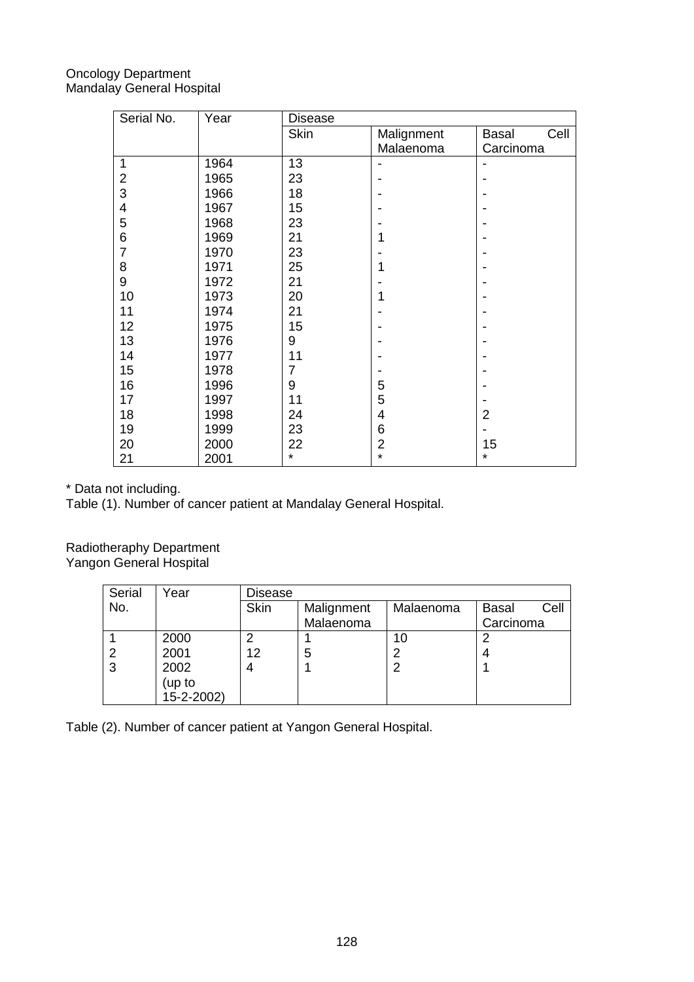### Oncology Department Mandalay General Hospital

| Serial No.     | Year | <b>Disease</b> |                |                |
|----------------|------|----------------|----------------|----------------|
|                |      | Skin           | Malignment     | Cell<br>Basal  |
|                |      |                | Malaenoma      | Carcinoma      |
| 1              | 1964 | 13             |                |                |
| 2              | 1965 | 23             |                |                |
| 3              | 1966 | 18             |                |                |
| 4              | 1967 | 15             |                |                |
| 5              | 1968 | 23             |                |                |
| 6              | 1969 | 21             |                |                |
| $\overline{7}$ | 1970 | 23             |                |                |
| 8              | 1971 | 25             |                |                |
| 9              | 1972 | 21             |                |                |
| 10             | 1973 | 20             | 1              |                |
| 11             | 1974 | 21             |                |                |
| 12             | 1975 | 15             |                |                |
| 13             | 1976 | 9              |                |                |
| 14             | 1977 | 11             |                |                |
| 15             | 1978 | 7              |                |                |
| 16             | 1996 | 9              | 5              |                |
| 17             | 1997 | 11             | 5              |                |
| 18             | 1998 | 24             | 4              | $\overline{2}$ |
| 19             | 1999 | 23             | 6              |                |
| 20             | 2000 | 22             | $\overline{2}$ | 15             |
| 21             | 2001 | $\star$        | $\star$        | ¥              |

\* Data not including.

Table (1). Number of cancer patient at Mandalay General Hospital.

Radiotheraphy Department Yangon General Hospital

| Serial | Year       | Disease     |            |           |                      |
|--------|------------|-------------|------------|-----------|----------------------|
| No.    |            | <b>Skin</b> | Malignment | Malaenoma | Cell<br><b>Basal</b> |
|        |            |             | Malaenoma  |           | Carcinoma            |
|        | 2000       | 2           |            | 10        | ⌒                    |
|        | 2001       | 12          | 5          |           |                      |
| 3      | 2002       | 4           |            |           |                      |
|        | (up to     |             |            |           |                      |
|        | 15-2-2002) |             |            |           |                      |

Table (2). Number of cancer patient at Yangon General Hospital.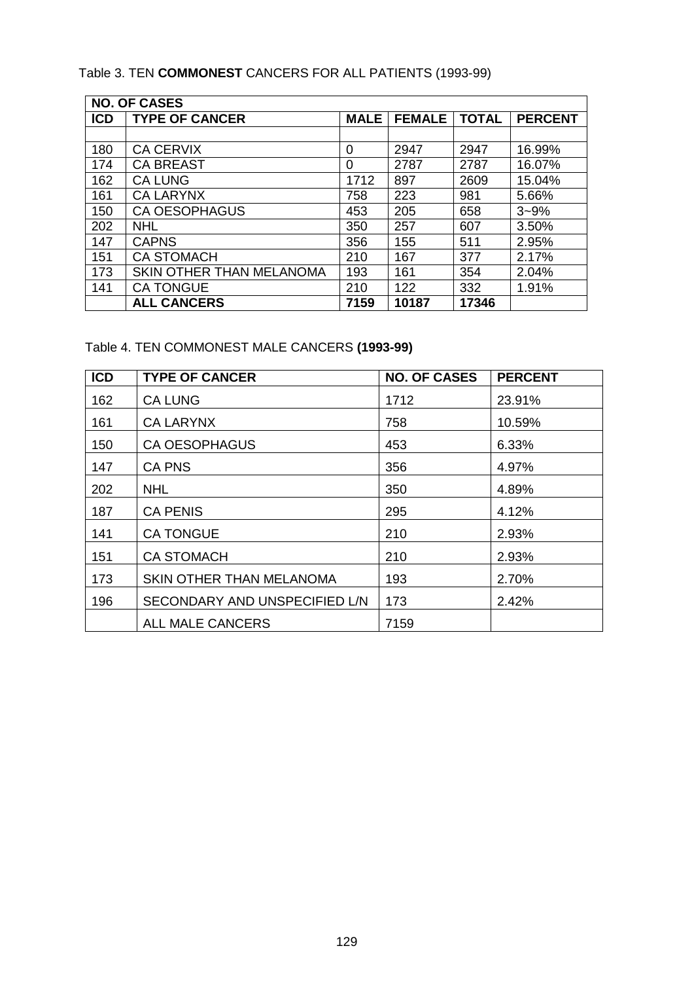## Table 3. TEN **COMMONEST** CANCERS FOR ALL PATIENTS (1993-99)

| <b>NO. OF CASES</b> |                          |             |               |              |                |
|---------------------|--------------------------|-------------|---------------|--------------|----------------|
| <b>ICD</b>          | <b>TYPE OF CANCER</b>    | <b>MALE</b> | <b>FEMALE</b> | <b>TOTAL</b> | <b>PERCENT</b> |
|                     |                          |             |               |              |                |
| 180                 | <b>CA CERVIX</b>         | 0           | 2947          | 2947         | 16.99%         |
| 174                 | <b>CA BREAST</b>         | 0           | 2787          | 2787         | 16.07%         |
| 162                 | <b>CA LUNG</b>           | 1712        | 897           | 2609         | 15.04%         |
| 161                 | <b>CA LARYNX</b>         | 758         | 223           | 981          | 5.66%          |
| 150                 | <b>CA OESOPHAGUS</b>     | 453         | 205           | 658          | $3 - 9%$       |
| 202                 | <b>NHL</b>               | 350         | 257           | 607          | 3.50%          |
| 147                 | <b>CAPNS</b>             | 356         | 155           | 511          | 2.95%          |
| 151                 | <b>CA STOMACH</b>        | 210         | 167           | 377          | 2.17%          |
| 173                 | SKIN OTHER THAN MELANOMA | 193         | 161           | 354          | 2.04%          |
| 141                 | <b>CA TONGUE</b>         | 210         | 122           | 332          | 1.91%          |
|                     | <b>ALL CANCERS</b>       | 7159        | 10187         | 17346        |                |

## Table 4. TEN COMMONEST MALE CANCERS **(1993-99)**

| <b>ICD</b> | <b>TYPE OF CANCER</b>           | <b>NO. OF CASES</b> | <b>PERCENT</b> |
|------------|---------------------------------|---------------------|----------------|
| 162        | <b>CA LUNG</b>                  | 1712                | 23.91%         |
| 161        | <b>CA LARYNX</b>                | 758                 | 10.59%         |
| 150        | <b>CA OESOPHAGUS</b>            | 453                 | 6.33%          |
| 147        | <b>CA PNS</b>                   | 356                 | 4.97%          |
| 202        | <b>NHL</b>                      | 350                 | 4.89%          |
| 187        | <b>CA PENIS</b>                 | 295                 | 4.12%          |
| 141        | <b>CA TONGUE</b>                | 210                 | 2.93%          |
| 151        | <b>CA STOMACH</b>               | 210                 | 2.93%          |
| 173        | <b>SKIN OTHER THAN MELANOMA</b> | 193                 | 2.70%          |
| 196        | SECONDARY AND UNSPECIFIED L/N   | 173                 | 2.42%          |
|            | <b>ALL MALE CANCERS</b>         | 7159                |                |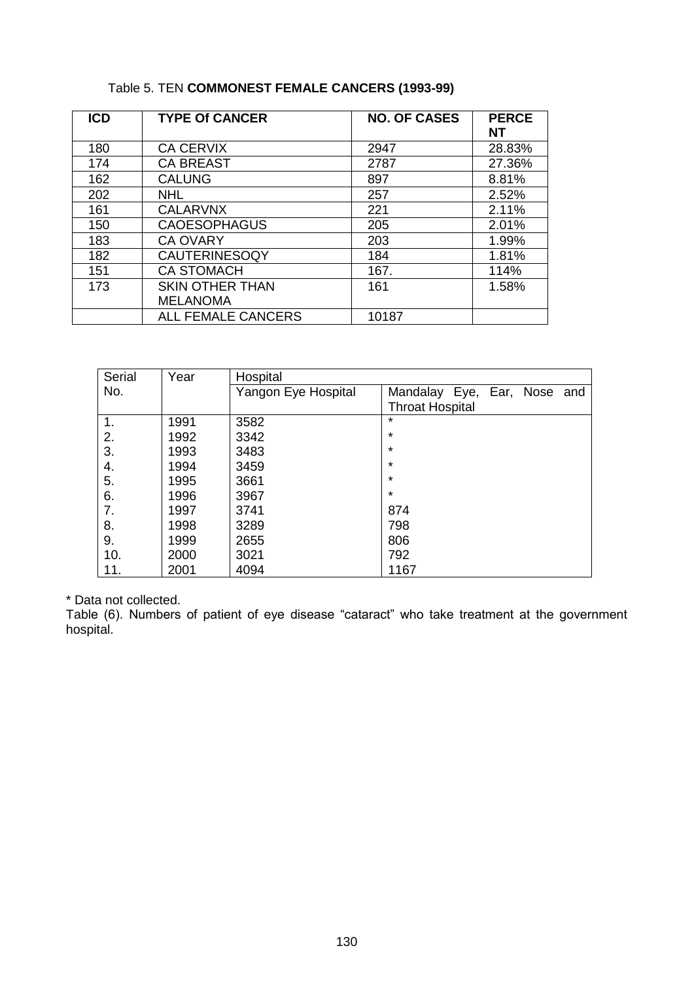## Table 5. TEN **COMMONEST FEMALE CANCERS (1993-99)**

| <b>ICD</b> | <b>TYPE Of CANCER</b>     | <b>NO. OF CASES</b> | <b>PERCE</b><br>NΤ |
|------------|---------------------------|---------------------|--------------------|
| 180        | <b>CA CERVIX</b>          | 2947                | 28.83%             |
| 174        | <b>CA BREAST</b>          | 2787                | 27.36%             |
| 162        | <b>CALUNG</b>             | 897                 | 8.81%              |
| 202        | <b>NHL</b>                | 257                 | 2.52%              |
| 161        | <b>CALARVNX</b>           | 221                 | 2.11%              |
| 150        | <b>CAOESOPHAGUS</b>       | 205                 | 2.01%              |
| 183        | <b>CA OVARY</b>           | 203                 | 1.99%              |
| 182        | <b>CAUTERINESOQY</b>      | 184                 | 1.81%              |
| 151        | <b>CA STOMACH</b>         | 167.                | 114%               |
| 173        | <b>SKIN OTHER THAN</b>    | 161                 | 1.58%              |
|            | <b>MELANOMA</b>           |                     |                    |
|            | <b>ALL FEMALE CANCERS</b> | 10187               |                    |

| Serial | Year | Hospital            |                                |  |
|--------|------|---------------------|--------------------------------|--|
| No.    |      | Yangon Eye Hospital | Mandalay Eye, Ear, Nose<br>and |  |
|        |      |                     | <b>Throat Hospital</b>         |  |
| 1.     | 1991 | 3582                | $\star$                        |  |
| 2.     | 1992 | 3342                | $\star$                        |  |
| 3.     | 1993 | 3483                | $\star$                        |  |
| 4.     | 1994 | 3459                | $\star$                        |  |
| 5.     | 1995 | 3661                | $\star$                        |  |
| 6.     | 1996 | 3967                | $\star$                        |  |
| 7.     | 1997 | 3741                | 874                            |  |
| 8.     | 1998 | 3289                | 798                            |  |
| 9.     | 1999 | 2655                | 806                            |  |
| 10.    | 2000 | 3021                | 792                            |  |
| 11.    | 2001 | 4094                | 1167                           |  |

\* Data not collected.

Table (6). Numbers of patient of eye disease "cataract" who take treatment at the government hospital.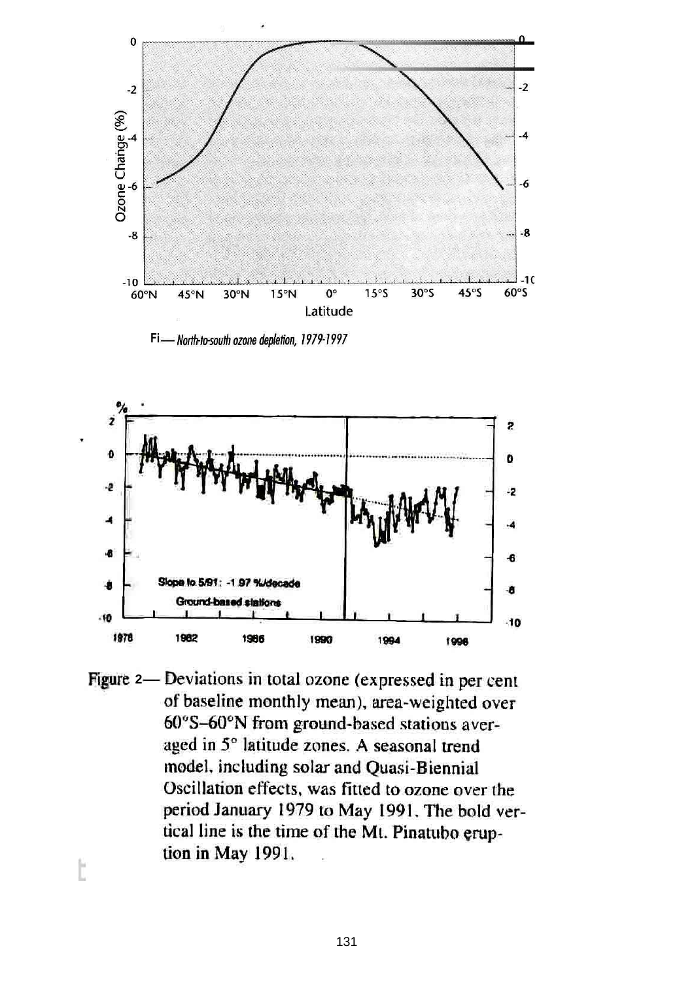

Fi - North-to-south ozone depletion, 1979-1997



Figure 2- Deviations in total ozone (expressed in per cent of baseline monthly mean), area-weighted over 60°S-60°N from ground-based stations averaged in 5° latitude zones. A seasonal trend model, including solar and Quasi-Biennial Oscillation effects, was fitted to ozone over the period January 1979 to May 1991. The bold vertical line is the time of the Mt. Pinatubo eruption in May 1991.

t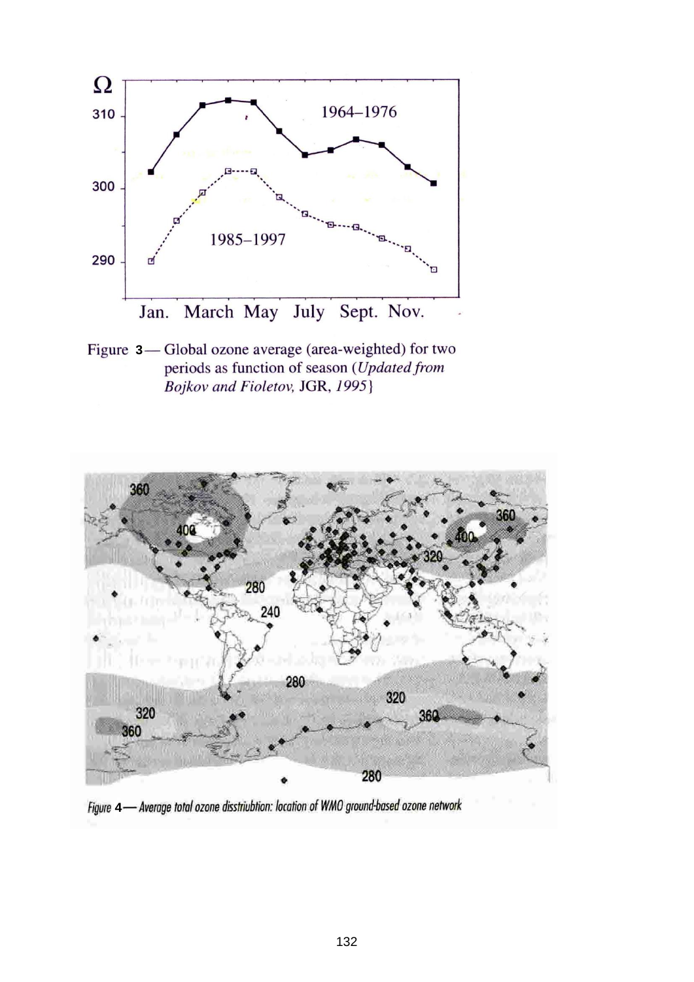

Figure 3-Global ozone average (area-weighted) for two periods as function of season (Updated from Bojkov and Fioletov, JGR, 1995}



Figure 4- Average total ozone disstriubtion: location of WMO ground-based ozone network